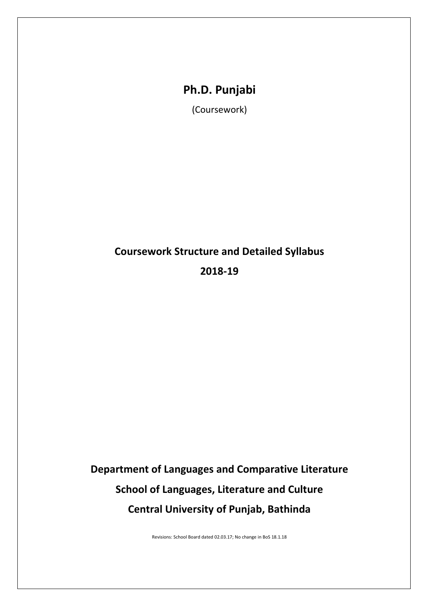## **Ph.D. Punjabi**

(Coursework)

# **[Coursework](#page-0-0) Structure and [Detailed Syllabus](#page-2-0) 2018-19**

# <span id="page-0-0"></span>**Department of Languages and Comparative Literature School of Languages, Literature and Culture Central University of Punjab, Bathinda**

Revisions: School Board dated 02.03.17; No change in BoS 18.1.18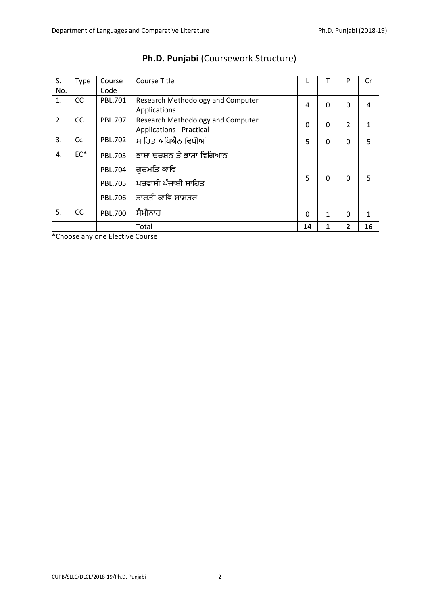| S.<br>No.      | Type      | Course<br>Code | Course Title                                                         | L           |              | P              | Cr |
|----------------|-----------|----------------|----------------------------------------------------------------------|-------------|--------------|----------------|----|
| $\mathbf{1}$ . | CC        | PBL.701        | Research Methodology and Computer<br>Applications                    | 4           | 0            | 0              | 4  |
| 2.             | <b>CC</b> | PBL.707        | Research Methodology and Computer<br><b>Applications - Practical</b> | $\mathbf 0$ | $\Omega$     | $\overline{2}$ |    |
| 3.             | Cc        | <b>PBL.702</b> | ਸਾਹਿਤ ਅਧਿਐਨ ਵਿਧੀਆਂ                                                   | 5           | $\Omega$     | 0              | 5  |
| 4.             | $EC^*$    | PBL.703        | ਭਾਸ਼ਾ ਦਰਸ਼ਨ ਤੇ ਭਾਸ਼ਾ ਵਿਗਿਆਨ                                          |             |              |                |    |
|                |           | <b>PBL.704</b> | ਗ਼ਰਮਤਿ ਕਾਵਿ                                                          |             |              |                |    |
|                |           | <b>PBL.705</b> | ਪਰਵਾਸੀ ਪੰਜਾਬੀ ਸਾਹਿਤ                                                  | 5           | <sup>0</sup> | 0              | 5  |
|                |           | PBL.706        | ਭਾਰਤੀ ਕਾਵਿ ਸ਼ਾਸਤਰ                                                    |             |              |                |    |
| 5.             | CC        | PBL.700        | ਸੈਮੀਨਾਰ                                                              | $\Omega$    | 1            | 0              | 1  |
|                |           |                | Total                                                                | 14          |              | $\overline{2}$ | 16 |

## **Ph.D. Punjabi** (Coursework Structure)

\*Choose any one Elective Course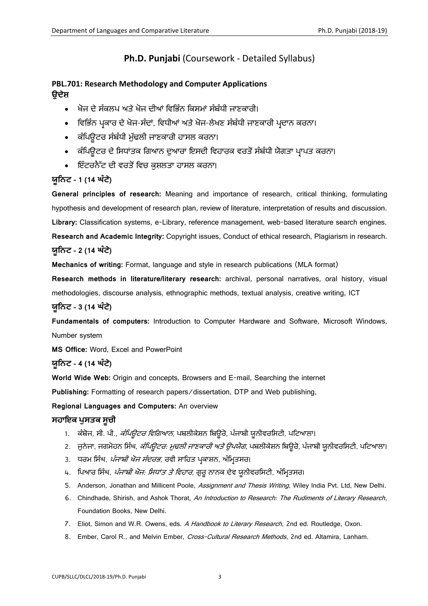### **Ph.D. Punjabi** (Coursework - Detailed Syllabus)

### <span id="page-2-1"></span><span id="page-2-0"></span>**PBL.701: Research Methodology and Computer Applications ਉਦੇਸ਼**

- ਖੋਜ ਦੇ ਸੰਕਲਪ ਅਤੇ ਖੋਜ ਦੀਆਂ ਹਿਹਭੰਨ ਹਕਸਮਾਂ ਸੰਬੰਿੀ ਜਾਣਕਾਰੀ।
- ਵਿਭਿੰਨ ਪਕਾਰ ਦੇ ਖੋਜ-ਸੰਦਾਂ, ਵਿਧੀਆਂ ਅਤੇ ਖੋਜ-ਲੇਖਣ ਸੰਬੰਧੀ ਜਾਣਕਾਰੀ ਪਦਾਨ ਕਰਨਾ।
- ਕੰਹਪਊਟਰ ਸੰਬੰਿੀ ਮੁੁੱਢਲੀ ਜਾਣਕਾਰੀ ਿਾਸਲ ਕਰਨਾ।
- ਕੰਪਿਉਟਰ ਦੇ ਸਿਧਾਂਤਕ ਗਿਆਨ ਦੁਆਰਾ ਇਸਦੀ ਵਿਹਾਰਕ ਵਰਤੋਂ ਸੰਬੰਧੀ ਯੋਗਤਾ ਪ੍ਰਾਪਤ ਕਰਨਾ।
- ਇੰਟਰਨੈੱਟ ਦੀ ਵਰਤੋਂ ਵਿਚ ਕਸ਼ਲਤਾ ਹਾਸਲ ਕਰਨਾ।

### **ਯੂਨਿਟ – 1 (14 ਘੰ ਟੇ)**

**General principles of research:** Meaning and importance of research, critical thinking, formulating hypothesis and development of research plan, review of literature, interpretation of results and discussion. **Library:** Classification systems, e-Library, reference management, web-based literature search engines. **Research and Academic Integrity:** Copyright issues, Conduct of ethical research, Plagiarism in research. **ਯੂਨਿਟ – 2 (14 ਘੰ ਟੇ)**

**Mechanics of writing:** Format, language and style in research publications (MLA format)

**Research methods in literature/literary research:** archival, personal narratives, oral history, visual methodologies, discourse analysis, ethnographic methods, textual analysis, creative writing, ICT

### **ਯੂਨਿਟ – 3 (14 ਘੰ ਟੇ)**

**Fundamentals of computers:** Introduction to Computer Hardware and Software, Microsoft Windows, Number system

**MS Office:** Word, Excel and PowerPoint

#### **ਯੂਨਿਟ – 4 (14 ਘੰ ਟੇ)**

**World Wide Web:** Origin and concepts, Browsers and E-mail, Searching the internet

**Publishing:** Formatting of research papers/dissertation, DTP and Web publishing,

**Regional Languages and Computers:** An overview

#### **ਸਹਾਇਕ ਪੁਸਤਕ ਸੂਚੀ**

- 1. ਕੰਬੋਜ, ਸੀ. ਪੀ., *ਕੰਪਿਊਟਰ ਵਿਗਿਆਨ*, ਪਬਲੀਕੇਸ਼ਨ ਬਿਊਰੋ, ਪੰਜਾਬੀ ਯੂਨੀਵਰਸਿਟੀ, ਪਟਿਆਲਾ।
- 2. ਜੁਨੇਜਾ, ਜਗਮੋਹਨ ਸਿੰਘ, *ਕੰਪਿਊਟਰ: ਮੁਢਲੀ ਜਾਣਕਾਰੀ ਅਤੇ ਉਪਯੋਗ*, ਪਬਲੀਕੇਸ਼ਨ ਬਿਊਰੋ, ਪੰਜਾਬੀ ਯੂਨੀਵਰਸਿਟੀ, ਪਟਿਆਲਾ।
- 3. ਧਰਮ ਸਿੰਘ, *ਪੰਜਾਬੀ ਖੋਜ ਸੰਦਰਭ*, ਰਵੀ ਸਾਹਿਤ ਪ੍ਰਕਾਸ਼ਨ, ਅੰਮ੍ਰਿਤਸਰ।
- 4. ਪਿਆਰ ਸਿੰਘ, *ਪੰਜਾਬੀ ਖੋਜ: ਸਿਧਾਂਤ ਤੇ ਵਿਹਾਰ*, ਗੁਰੂ ਨਾਨਕ ਦੇਵ ਯੂਨੀਵਰਸਿਟੀ, ਅੰਮ੍ਰਿਤਸਰ।
- 5. Anderson, Jonathan and Millicent Poole, Assignment and Thesis Writing, Wiley India Pvt. Ltd, New Delhi.
- 6. Chindhade, Shirish, and Ashok Thorat, An Introduction to Research: The Rudiments of Literary Research, Foundation Books, New Delhi.
- 7. Eliot, Simon and W.R. Owens, eds. A Handbook to Literary Research, 2nd ed. Routledge, Oxon.
- 8. Ember, Carol R., and Melvin Ember, Cross-Cultural Research Methods, 2nd ed. Altamira, Lanham.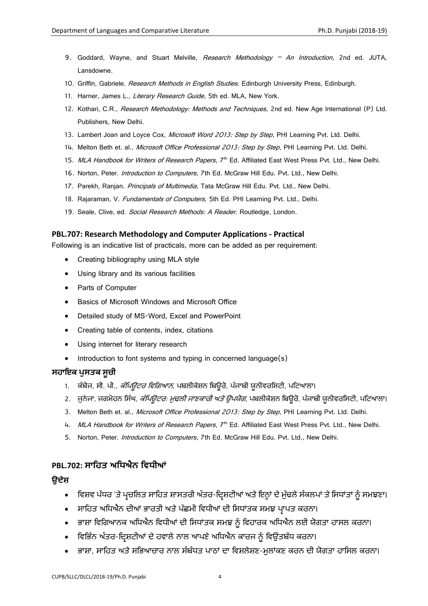- 9. Goddard, Wayne, and Stuart Melville, Research Methodology An Introduction, 2nd ed. JUTA, Lansdowne.
- 10. Griffin, Gabriele. Research Methods in English Studies. Edinburgh University Press, Edinburgh.
- 11. Harner, James L., Literary Research Guide, 5th ed. MLA, New York.
- 12. Kothari, C.R., *Research Methodology: Methods and Techniques*, 2nd ed. New Age International (P) Ltd. Publishers, New Delhi.
- 13. Lambert Joan and Loyce Cox, Microsoft Word 2013: Step by Step, PHI Learning Pvt. Ltd. Delhi.
- 14. Melton Beth et. al., Microsoft Office Professional 2013: Step by Step, PHI Learning Pvt. Ltd. Delhi.
- 15. MLA Handbook for Writers of Research Papers, 7<sup>th</sup> Ed. Affiliated East West Press Pvt. Ltd., New Delhi.
- 16. Norton, Peter. Introduction to Computers, 7th Ed. McGraw Hill Edu. Pvt. Ltd., New Delhi.
- 17. Parekh, Ranjan, *Principals of Multimedia*, Tata McGraw Hill Edu. Pvt. Ltd., New Delhi.
- 18. Rajaraman, V. Fundamentals of Computers, 5th Ed. PHI Learning Pvt. Ltd., Delhi.
- 19. Seale, Clive, ed. Social Research Methods: A Reader. Routledge, London.

#### <span id="page-3-0"></span>**PBL.707: Research Methodology and Computer Applications - Practical**

Following is an indicative list of practicals, more can be added as per requirement:

- Creating bibliography using MLA style
- Using library and its various facilities
- Parts of Computer
- Basics of Microsoft Windows and Microsoft Office
- Detailed study of MS-Word, Excel and PowerPoint
- Creating table of contents, index, citations
- Using internet for literary research
- Introduction to font systems and typing in concerned language(s)

#### **ਸਹਾਇਕ ਪੁਸਤਕ ਸੂਚੀ**

- 1. ਕੰਬੋਜ, ਸੀ. ਪੀ., *ਕੰਪਿਊਟਰ ਵਿਗਿਆਨ*, ਪਬਲੀਕੇਸ਼ਨ ਬਿਊਰੋ, ਪੰਜਾਬੀ ਯੂਨੀਵਰਸਿਟੀ, ਪਟਿਆਲਾ।
- 2. ਜੁਨੇਜਾ, ਜਗਮੋਹਨ ਸਿੰਘ, *ਕੰਪਿਊਟਰ: ਮੁਢਲੀ ਜਾਣਕਾਰੀ ਅਤੇ ਉਪਯੋਗ*, ਪਬਲੀਕੇਸ਼ਨ ਬਿਊਰੋ, ਪੰਜਾਬੀ ਯੂਨੀਵਰਸਿਟੀ, ਪਟਿਆਲਾ।
- 3. Melton Beth et. al., Microsoft Office Professional 2013: Step by Step, PHI Learning Pvt. Ltd. Delhi.
- 4. MLA Handbook for Writers of Research Papers, 7<sup>th</sup> Ed. Affiliated East West Press Pvt. Ltd., New Delhi.
- 5. Norton, Peter. Introduction to Computers, 7th Ed. McGraw Hill Edu. Pvt. Ltd., New Delhi.

#### <span id="page-3-1"></span>**PBL.702: ਸਾਨਹਤ ਅਨਿਐਿ ਨਿਿੀਆਂ**

#### **ਉਦੇਸ਼**

- ਵਿਸ਼ਵ ਪੱਧਰ 'ਤੇ ਪ੍ਰਚਲਿਤ ਸਾਹਿਤ ਸ਼ਾਸਤਰੀ ਅੰਤਰ-ਦਿਸ਼ਟੀਆਂ ਅਤੇ ਇਨ੍ਹਾਂ ਦੇ ਮੁੱਢਲੇ ਸੰਕਲਪਾਂ ਤੇ ਸਿਧਾਂਤਾਂ ਨੂੰ ਸਮਝਣਾ।
- ਸਾਹਿਤ ਅਧਿਐਨ ਦੀਆਂ ਭਾਰਤੀ ਅਤੇ ਪੱਛਮੀ ਵਿਧੀਆਂ ਦੀ ਸਿਧਾਂਤਕ ਸਮਝ ਪਾਪਤ ਕਰਨਾ।
- ਭਾਸ਼ਾ ਵਿਗਿਆਨਕ ਅਧਿਐਨ ਵਿਧੀਆਂ ਦੀ ਸਿਧਾਂਤਕ ਸਮਝ ਨੂੰ ਵਿਹਾਰਕ ਅਧਿਐਨ ਲਈ ਯੋਗਤਾ ਹਾਸਲ ਕਰਨਾ।
- ਵਿਭਿੰਨ ਅੰਤਰ-ਦਿਸ਼ਟੀਆਂ ਦੇ ਹਵਾਲੇ ਨਾਲ ਆਪਣੇ ਅਧਿਐਨ ਕਾਰਜ ਨੂੰ ਵਿਉਂਤਬੱਧ ਕਰਨਾ।
- ਭਾਸ਼ਾ, ਸਾਹਿਤ ਅਤੇ ਸਭਿਆਚਾਰ ਨਾਲ ਸੰਬੰਧਤ ਪਾਠਾਂ ਦਾ ਵਿਸ਼ਲੇਸ਼ਣ-ਮਲਾਂਕਣ ਕਰਨ ਦੀ ਯੋਗਤਾ ਹਾਸਿਲ ਕਰਨਾ।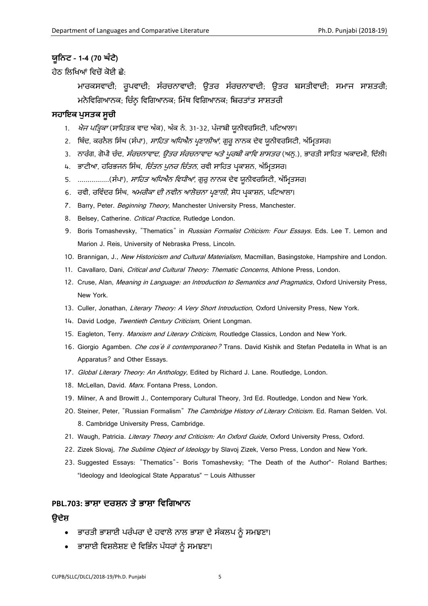#### **ਯੂਨਿਟ – 1-4 (70 ਘੰ ਟੇ)**

ਿੇਠ ਹਲਹਖਆਂ ਹਿਚੋਂ ਕੋਈ ਛੇ:

ਮਾਰਕਸਵਾਦੀ; ਰੂਪਵਾਦੀ; ਸੰਰਚਨਾਵਾਦੀ; ਉਤਰ ਸੰਰਚਨਾਵਾਦੀ; ਉਤਰ ਬਸਤੀਵਾਦੀ; ਸਮਾਜ ਸਾਸ਼ਤਰੀ; ਮਨੋਵਿਗਿਆਨਕ; ਚਿੰਨ੍ਹ ਵਿਗਿਆਨਕ; ਮਿੱਥ ਵਿਗਿਆਨਕ; ਬਿਰਤਾਂਤ ਸਾਸ਼ਤਰੀ

#### **ਸਹਾਇਕ ਪੁਸਤਕ ਸੂਚੀ**

- 1. *ਖੋਜ ਪਤ੍ਰਿਕਾ* (ਸਾਹਿਤਕ ਵਾਦ ਅੰਕ), ਅੰਕ ਨੰ. 31-32, ਪੰਜਾਬੀ ਯੂਨੀਵਰਸਿਟੀ, ਪਟਿਆਲਾ।
- 2. ਬਿੰਦ, ਕਰਨੈਲ ਸਿੰਘ (ਸੰਪਾ), *ਸਾਹਿਤ ਅਧਿਐਨ ਪ੍ਰਣਾਲੀਆਂ*, ਗੁਰੂ ਨਾਨਕ ਦੇਵ ਯੂਨੀਵਰਸਿਟੀ, ਅੰਮ੍ਰਿਤਸਰ।
- 3. ਨਾਰੰਗ, ਗੋਪੀ ਚੰਦ, *ਸੰਰਚਨਾਵਾਦ, ਉਤਰ ਸੰਰਚਨਾਵਾਦ ਅਤੇ ਪੂਰਬੀ ਕਾਵਿ ਸ਼ਾਸਤਰ* (ਅਨੁ.), ਭਾਰਤੀ ਸਾਹਿਤ ਅਕਾਦਮੀ, ਦਿੱਲੀ।
- 4. ਭਾਟੀਆ, ਹਰਿਭਜਨ ਸਿੰਘ, *ਚਿੰਤਨ ਪਨਰ ਚਿੰਤਨ*, ਰਵੀ ਸਾਹਿਤ ਪਕਾਸ਼ਨ, ਅੰਮਿਤਸਰ।
- 5. ................(ਸੰਪਾ), *ਸਾਹਿਤ ਅਧਿਐਨ ਵਿਧੀਆਂ*, ਗਰ ਨਾਨਕ ਦੇਵ ਯੂਨੀਵਰਸਿਟੀ, ਅੰਮਿਤਸਰ।
- 6. ਰਵੀ, ਰਵਿੰਦਰ ਸਿੰਘ, *ਅਮਰੀਕਾ ਦੀ ਨਵੀਨ ਆਲੋਚਨਾ ਪ੍ਰਣਾਲੀ*, ਸੇਧ ਪ੍ਰਕਾਸ਼ਨ, ਪਟਿਆਲਾ।
- 7. Barry, Peter. Beginning Theory, Manchester University Press, Manchester.
- 8. Belsey, Catherine. Critical Practice, Rutledge London.
- 9. Boris Tomashevsky, "Thematics" in Russian Formalist Criticism: Four Essays. Eds. Lee T. Lemon and Marion J. Reis, University of Nebraska Press, Lincoln.
- 10. Brannigan, J., New Historicism and Cultural Materialism, Macmillan, Basingstoke, Hampshire and London.
- 11. Cavallaro, Dani, Critical and Cultural Theory: Thematic Concerns, Athlone Press, London.
- 12. Cruse, Alan, Meaning in Language: an Introduction to Semantics and Pragmatics, Oxford University Press, New York.
- 13. Culler, Jonathan, Literary Theory: A Very Short Introduction, Oxford University Press, New York.
- 14. David Lodge, Twentieth Century Criticism, Orient Longman.
- 15. Eagleton, Terry. Marxism and Literary Criticism, Routledge Classics, London and New York.
- 16. Giorgio Agamben. Che cos'è il contemporaneo? Trans. David Kishik and Stefan Pedatella in What is an Apparatus? and Other Essays.
- 17. Global Literary Theory: An Anthology, Edited by Richard J. Lane. Routledge, London.
- 18. McLellan, David. Marx. Fontana Press, London.
- 19. Milner, A and Browitt J., Contemporary Cultural Theory, 3rd Ed. Routledge, London and New York.
- 20. Steiner, Peter, "Russian Formalism" The Cambridge History of Literary Criticism. Ed. Raman Selden. Vol. 8. Cambridge University Press, Cambridge.
- 21. Waugh, Patricia. Literary Theory and Criticism: An Oxford Guide, Oxford University Press, Oxford.
- 22. Zizek Slovaj, The Sublime Object of Ideology by Slavoj Zizek, Verso Press, London and New York.
- 23. Suggested Essays: "Thematics"- Boris Tomashevsky; "The Death of the Author"- Roland Barthes; "Ideology and Ideological State Apparatus" – Louis Althusser

#### <span id="page-4-0"></span>**PBL.703: ਭਾਸ਼ਾ ਦਰਸ਼ਿ ਤੇ ਭਾਸ਼ਾ ਨਿਨਿਆਿ**

#### **ਉਦੇਸ਼**

- ਭਾਰਤੀ ਭਾਸ਼ਾਈ ਪਰੰਪਰਾ ਦੇ ਿਿਾਲੇ ਨਾਲ ਭਾਸ਼ਾ ਦੇ ਸੰਕਲਪ ਨੂੰ ਸਮਝਣਾ।
- ਭਾਸ਼ਾਈ ਵਿਸ਼ਲੇਸ਼ਣ ਦੇ ਵਿਭਿੰਨ ਪੱਧਰਾਂ ਨੂੰ ਸਮਝਣਾ।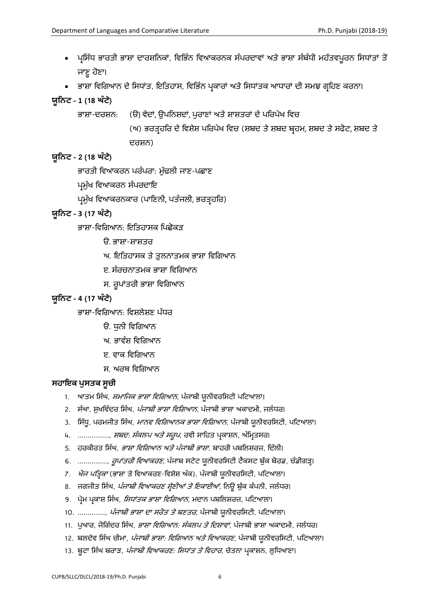- ਪ੍ਰਸਿੱਧ ਭਾਰਤੀ ਭਾਸ਼ਾ ਦਾਰਸ਼ਨਿਕਾਂ, ਵਿਭਿੰਨ ਵਿਆਕਰਨਕ ਸੰਪਰਦਾਵਾਂ ਅਤੇ ਭਾਸ਼ਾ ਸੰਬੰਧੀ ਮਹੱਤਵਪੂਰਨ ਸਿਧਾਂਤਾਂ ਤੋਂ ਜਾਣੂ ਹੋਣਾ।
- ਭਾਸ਼ਾ ਵਿਗਿਆਨ ਦੇ ਸਿਧਾਂਤ, ਇਤਿਹਾਸ, ਵਿਭਿੰਨ ਪ੍ਰਕਾਰਾਂ ਅਤੇ ਸਿਧਾਂਤਕ ਆਧਾਰਾਂ ਦੀ ਸਮਝ ਗਹਿਣ ਕਰਨਾ।

### **ਯੂਨਿਟ – 1 (18 ਘੰ ਟੇ)**

ਭਾਸ਼ਾ-ਦਰਸ਼ਨ: (ੳ) ਵੇਦਾਂ, ਉਪਨਿਸ਼ਦਾਂ, ਪੁਰਾਣਾਂ ਅਤੇ ਸ਼ਾਸ਼ਤਰਾਂ ਦੇ ਪਰਿਪੇਖ ਵਿਚ

(ਅ) ਭਰਤਰਿਹਰ ਦੇ ਹਿਸ਼ੇਸ਼ ਪਹਰਪੇਖ ਹਿਚ (ਸ਼ਬਦ ਤੇ ਸ਼ਬਦ ਬਰਿਮ, ਸ਼ਬਦ ਤੇ ਸਫੋਟ, ਸ਼ਬਦ ਤੇ ਦਰਸ਼ਨ)

### **ਯੂਨਿਟ – 2 (18 ਘੰ ਟੇ)**

ਭਾਰਤੀ ਹਿਆਕਰਨ ਪਰੰਪਰਾ: ਮੁੁੱਢਲੀ ਜਾਣ-ਪਛਾਣ

ਪ੍ਰਮੱਖ ਵਿਆਕਰਨ ਸੰਪਰਦਾਇ

ਪ੍ਰਮੁੱਖ ਵਿਆਕਰਨਕਾਰ (ਪਾਣਿਨੀ, ਪਤੰਜਲੀ, ਭਰਤਰਰਿ)

### **ਯੂਨਿਟ – 3 (17 ਘੰ ਟੇ)**

ਭਾਸ਼ਾ-ਹਿਹਿਆਨ: ਇਹਤਿਾਸਕ ਹਪਛੋਕੜ

ੳ. ਭਾਸ਼ਾ-ਸ਼ਾਸ਼ਤਰ

- ਅ. ਇਹਤਿਾਸਕ ਤੇ ਤੁਲਨਾਤਮਕ ਭਾਸ਼ਾ ਹਿਹਿਆਨ
- ੲ. ਸੰਰਚਨਾਤਮਕ ਭਾਸ਼ਾ ਹਿਹਿਆਨ
- ਸ. ਰੂਪਾਂਤਰੀ ਭਾਸ਼ਾ ਹਿਹਿਆਨ

### **ਯੂਨਿਟ – 4 (17 ਘੰ ਟੇ)**

ਭਾਸ਼ਾ-ਵਿਗਿਆਨ: ਵਿਸ਼ਲੇਸ਼ਣ ਪੱਧਰ

- ੳ. ਧੁਨੀ ਵਿਗਿਆਨ
- ਅ. ਭਾਵੰਸ਼ ਵਿਗਿਆਨ
- ੲ. ਵਾਕ ਵਿਗਿਆਨ
- ਸ. ਅਰਥ ਹਿਹਿਆਨ

### **ਸਹਾਇਕ ਪੁਸਤਕ ਸੂਚੀ**

- 1. ਆਤਮ ਸਿੰਘ, *ਸਮਾਜਿਕ ਭਾਸ਼ਾ ਵਿਗਿਆਨ*, ਪੰਜਾਬੀ ਯੂਨੀਵਰਸਿਟੀ ਪਟਿਆਲਾ।
- 2. ਸੰਘਾ, ਸੁਖਵਿੰਦਰ ਸਿੰਘ, *ਪੰਜਾਬੀ ਭਾਸ਼ਾ ਵਿਗਿਆਨ*, ਪੰਜਾਬੀ ਭਾਸ਼ਾ ਅਕਾਦਮੀ, ਜਲੰਧਰ।
- 3. ਸਿੱਧ, ਪਰਮਜੀਤ ਸਿੰਘ, *ਮਾਨਵ ਵਿਗਿਆਨਕ ਭਾਸ਼ਾ ਵਿਗਿਆਨ*, ਪੰਜਾਬੀ ਯੂਨੀਵਰਸਿਟੀ, ਪਟਿਆਲਾ।
- 4. ................, *ਸ਼ਬਦ: ਸੰਕਲਪ ਅਤੇ ਸਰੂਪ*, ਰਵੀ ਸਾਹਿਤ ਪ੍ਰਕਾਸ਼ਨ, ਅੰਮ੍ਰਿਤਸਰ।
- 5. ਹਰਕੀਰਤ ਸਿੰਘ, *ਭਾਸ਼ਾ ਵਿਗਿਆਨ ਅਤੇ ਪੰਜਾਬੀ ਭਾਸ਼ਾ*, ਬਾਹਰੀ ਪਬਲਿਸ਼ਰਜ਼, ਦਿੱਲੀ।
- 6. ..............., *ਰੂਪਾਂਤਰੀ ਵਿਆਕਰਣ*, ਪੰਜਾਬ ਸਟੇਟ ਯੂਨੀਵਰਸਿਟੀ ਟੈਕਸਟ ਬੁੱਕ ਬੋਰਡ, ਚੰਡੀਗੜ੍ਹ।
- 7. *ਖੋਜ ਪਤ੍ਰਿਕਾ* (ਭਾਸ਼ਾ ਤੇ ਵਿਆਕਰਣ-ਵਿਸ਼ੇਸ਼ ਅੰਕ), ਪੰਜਾਬੀ ਯੂਨੀਵਰਸਿਟੀ, ਪਟਿਆਲਾ।
- 8. ਜਗਜੀਤ ਸਿੰਘ, *ਪੰਜਾਬੀ ਵਿਆਕਰਣ ਸ਼੍ਰੇਣੀਆਂ ਤੇ ਇਕਾਈਆਂ*, ਨਿਊ ਬੁੱਕ ਕੰਪਨੀ, ਜਲੰਧਰ।
- 9. ਪ੍ਰੇਮ ਪ੍ਰਕਾਸ਼ ਸਿੰਘ, *ਸਿਧਾਂਤਕ ਭਾਸ਼ਾ ਵਿਗਿਆਨ*, ਮਦਾਨ ਪਬਲਿਸ਼ਰਜ਼, ਪਟਿਆਲਾ।
- 10. .............., *ਪੰਜਾਬੀ ਭਾਸ਼ਾ ਦਾ ਸਰੋਤ ਤੇ ਬਣਤਰ*, ਪੰਜਾਬੀ ਯੂਨੀਵਰਸਿਟੀ, ਪਟਿਆਲਾ।
- 11. ਪੁਆਰ, ਜੋਗਿੰਦਰ ਸਿੰਘ, *ਭਾਸ਼ਾ ਵਿਗਿਆਨ: ਸੰਕਲਪ ਤੇ ਦਿਸ਼ਾਵਾਂ*, ਪੰਜਾਬੀ ਭਾਸ਼ਾ ਅਕਾਦਮੀ, ਜਲੰਧਰ।
- 12. ਬਲਦੇਵ ਸਿੰਘ ਚੀਮਾ, *ਪੰਜਾਬੀ ਭਾਸ਼ਾ: ਵਿਗਿਆਨ ਅਤੇ ਵਿਆਕਰਣ*, ਪੰਜਾਬੀ ਯੂਨੀਵਰਸਿਟੀ, ਪਟਿਆਲਾ।
- 13. ਬੂਟਾ ਸਿੰਘ ਬਰਾੜ, *ਪੰਜਾਬੀ ਵਿਆਕਰਣ: ਸਿਧਾਂਤ ਤੇ ਵਿਹਾਰ*, ਚੇਤਨਾ ਪ੍ਰਕਾਸ਼ਨ, ਲੁਧਿਆਣਾ।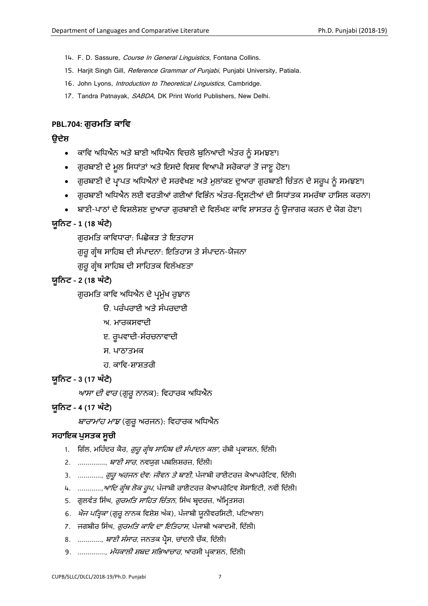- 14. F. D. Sassure, Course In General Linguistics, Fontana Collins.
- 15. Harjit Singh Gill, Reference Grammar of Punjabi, Punjabi University, Patiala.
- 16. John Lyons, *Introduction to Theoretical Linguistics*, Cambridge.
- 17. Tandra Patnayak, SABDA, DK Print World Publishers, New Delhi.

#### <span id="page-6-0"></span>**PBL.704: ਿੁਰਮਨਤ ਕਾਨਿ**

#### **ਉਦੇਸ਼**

- ਕਾਹਿ ਅਹਿਐਨ ਅਤੇ ਬਾਣੀ ਅਹਿਐਨ ਹਿਚਲੇ ਬੁਹਨਆਦੀ ਅੰਤਰ ਨੂੰ ਸਮਝਣਾ।
- ਗੁਰਬਾਣੀ ਦੇ ਮੂਲ ਸਿਧਾਂਤਾਂ ਅਤੇ ਇਸਦੇ ਵਿਸ਼ਵ ਵਿਆਪੀ ਸਰੋਕਾਰਾਂ ਤੋਂ ਜਾਣੂ ਹੋਣਾ।
- ਗੁਰਬਾਣੀ ਦੇ ਪ੍ਰਾਪਤ ਅਧਿਐਨਾਂ ਦੇ ਸਰਵੇਖਣ ਅਤੇ ਮੁਲਾਂਕਣ ਦੁਆਰਾ ਗੁਰਬਾਣੀ ਚਿੰਤਨ ਦੇ ਸਰੂਪ ਨੂੰ ਸਮਝਣਾ।
- ਗੁਰਬਾਣੀ ਅਧਿਐਨ ਲਈ ਵਰਤੀਆਂ ਗਈਆਂ ਵਿਭਿੰਨ ਅੰਤਰ-ਦਿਸ਼ਟੀਆਂ ਦੀ ਸਿਧਾਂਤਕ ਸਮਰੱਥਾ ਹਾਸਿਲ ਕਰਨਾ।
- ਬਾਣੀ-ਪਾਠਾਂ ਦੇ ਵਿਸ਼ਲੇਸ਼ਣ ਦੁਆਰਾ ਗੁਰਬਾਣੀ ਦੇ ਵਿਲੱਖਣ ਕਾਵਿ ਸ਼ਾਸਤਰ ਨੂੰ ਉਜਾਗਰ ਕਰਨ ਦੇ ਯੋਗ ਹੋਣਾ।

#### **ਯੂਨਿਟ – 1 (18 ਘੰ ਟੇ)**

ਗਰਮਤਿ ਕਾਵਿਧਾਰਾ: ਪਿਛੋਕੜ ਤੇ ਇਤਹਾਸ

ਿੁਰੂਿਰੰਥ ਸਾਹਿਬ ਦੀ ਸੰਪਾਦਨਾ: ਇਹਤਿਾਸ ਤੇ ਸੰਪਾਦਨ-ਯੋਜਨਾ

ਗਰ ਗੰਥ ਸਾਹਿਬ ਦੀ ਸਾਹਿਤਕ ਵਿਲੱਖਣਤਾ

#### **ਯੂਨਿਟ – 2 (18 ਘੰ ਟੇ)**

ਗੁਰਮਤਿ ਕਾਵਿ ਅਧਿਐਨ ਦੇ ਪ੍ਰਮੁੱਖ ਰੁਝਾਨ

- ੳ. ਪਰੰਪਰਾਈ ਅਤੇ ਸੰਪਰਦਾਈ
- ਅ. ਮਾਰਕਸਿਾਦੀ
- ੲ. ਰਪਵਾਦੀ-ਸੰਰਚਨਾਵਾਦੀ
- ਸ. ਪਾਠਾਤਮਕ
- ਹ. ਕਾਵਿ-ਸ਼ਾਸ਼ਤਰੀ

#### **ਯੂਨਿਟ – 3 (17 ਘੰ ਟੇ)**

*ਆਸਾ ਦੀ ਵਾਰ* (ਗੁਰੂ ਨਾਨਕ): ਵਿਹਾਰਕ ਅਧਿਐਨ

#### **ਯੂਨਿਟ – 4 (17 ਘੰ ਟੇ)**

*ਬਾਰਾਮਾਂਹ ਮਾਝ* (ਗੁਰੂ ਅਰਜਨ): ਵਿਹਾਰਕ ਅਧਿਐਨ

#### **ਸਹਾਇਕ ਪੁਸਤਕ ਸੂਚੀ**

- 1. ਗਿੱਲ, ਮਹਿੰਦਰ ਕੈਰ, *ਗੁਰੂ ਗ੍ਰੰਥ ਸਾਹਿਬ ਦੀ ਸੰਪਾਦਨ ਕਲਾ*, ਰੱਬੀ ਪ੍ਰਕਾਸ਼ਨ, ਦਿੱਲੀ।
- 2. ............... *ਬਾਣੀ ਸਾਰ*, ਨਵਯਗ ਪਬਲਿਸ਼ਰਜ਼, ਦਿੱਲੀ।
- 3. ............, *ਗੁਰੁ ਅਰਜਨ ਦੇਵ: ਜੀਵਨ ਤੇ ਬਾਣੀ*, ਪੰਜਾਬੀ ਰਾਈਟਰਜ਼ ਕੋਆਪਰੇਟਿਵ, ਦਿੱਲੀ।
- 4. ............, ਆ*ਦਿ ਗ੍ਰੰਥ ਲੋਕ ਰੂਪ*, ਪੰਜਾਬੀ ਰਾਈਟਰਜ਼ ਕੋਆਪਰੇਟਿਵ ਸੋਸਾਇਟੀ, ਨਵੀਂ ਦਿੱਲੀ।
- 5. ਗੁਲਵੰਤ ਸਿੰਘ, *ਗੁਰਮਤਿ ਸਾਹਿਤ ਚਿੰਤਨ*, ਸਿੰਘ ਬ੍ਰਦਰਜ਼, ਅੰਮ੍ਰਿਤਸਰ।
- 6. *ਖੋਜ ਪਤ੍ਰਿਕਾ* (ਗੁਰੂ ਨਾਨਕ ਵਿਸ਼ੇਸ਼ ਅੰਕ), ਪੰਜਾਬੀ ਯੂਨੀਵਰਸਿਟੀ, ਪਟਿਆਲਾ।
- 7. ਜਗਬੀਰ ਸਿੰਘ, *ਗਰਮਤਿ ਕਾਵਿ ਦਾ ਇਤਿਹਾਸ*, ਪੰਜਾਬੀ ਅਕਾਦਮੀ, ਦਿੱਲੀ।
- 8. ............, *ਬਾਣੀ ਸੰਸਾਰ*, ਜਨਤਕ ਪੈਸ, ਚਾਂਦਨੀ ਚੈਂਕ, ਦਿੱਲੀ।
- 9. .............., *ਮੱਧਕਾਲੀ ਸ਼ਬਦ ਸਭਿਆਚਾਰ*, ਆਰਸੀ ਪ੍ਰਕਾਸ਼ਨ, ਦਿੱਲੀ।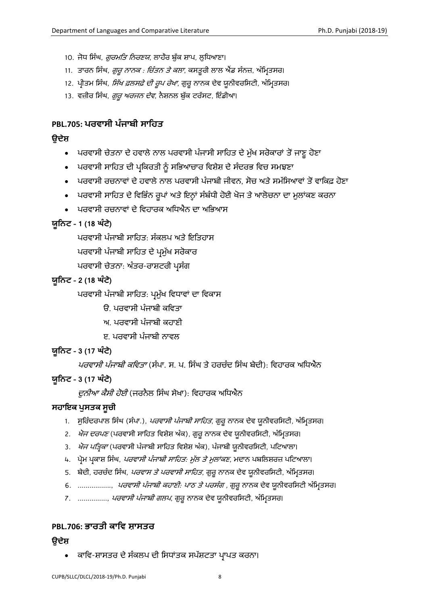- 10. ਜੋਧ ਸਿੰਘ, *ਗੁਰਮਤਿ ਨਿਰਣਯ*, ਲਾਹੌਰ ਬੁੱਕ ਸ਼ਾਪ, ਲੁਧਿਆਣਾ।
- 11. ਤਾਰਨ ਸਿੰਘ, *ਗੁਰੂ ਨਾਨਕ : ਚਿੰਤਨ ਤੇ ਕਲਾ*, ਕਸਤੁਰੀ ਲਾਲ ਐਂਡ ਸੰਨਜ਼, ਅੰਮ੍ਰਿਤਸਰ।
- 12. ਪੀਤਮ ਸਿੰਘ, *ਸਿੱਖ ਫ਼ਲਸਫ਼ੇ ਦੀ ਰੂਪ ਰੇਖਾ*, ਗੁਰੂ ਨਾਨਕ ਦੇਵ ਯੂਨੀਵਰਸਿਟੀ, ਅੰਮ੍ਰਿਤਸਰ।
- 13. ਵਜ਼ੀਰ ਸਿੰਘ, *ਗੁਰੂ ਅਰਜਨ ਦੇਵ*, ਨੈਸ਼ਨਲ ਬੁੱਕ ਟਰੱਸਟ, ਇੰਡੀਆ।

### <span id="page-7-0"></span>**PBL.705: ਪਰਿਾਸੀ ਪੰ ਜਾਬੀ ਸਾਨਹਤ**

### **ਉਦੇਸ਼**

- ਪਰਵਾਸੀ ਚੇਤਨਾ ਦੇ ਹਵਾਲੇ ਨਾਲ ਪਰਵਾਸੀ ਪੰਜਾਸੀ ਸਾਹਿਤ ਦੇ ਮੁੱਖ ਸਰੋਕਾਰਾਂ ਤੋਂ ਜਾਣੂ ਹੋਣਾ
- ਪਰਵਾਸੀ ਸਾਹਿਤ ਦੀ ਪ੍ਰਕਿਰਤੀ ਨੂੰ ਸਭਿਆਚਾਰ ਵਿਸ਼ੇਸ਼ ਦੇ ਸੰਦਰਭ ਵਿਚ ਸਮਝਣਾ
- ਪਰਵਾਸੀ ਰਚਨਾਵਾਂ ਦੇ ਹਵਾਲੇ ਨਾਲ ਪਰਵਾਸੀ ਪੰਜਾਬੀ ਜੀਵਨ, ਸੋਚ ਅਤੇ ਸਮੱਸਿਆਵਾਂ ਤੋਂ ਵਾਕਿਫ਼ ਹੋਣਾ
- ਪਰਵਾਸੀ ਸਾਹਿਤ ਦੇ ਵਿਭਿੰਨ ਰੂਪਾਂ ਅਤੇ ਇਨ੍ਹਾਂ ਸੰਬੰਧੀ ਹੋਈ ਖੋਜ ਤੇ ਆਲੋਚਨਾ ਦਾ ਮੁਲਾਂਕਣ ਕਰਨਾ
- ਪਰਵਾਸੀ ਰਚਨਾਵਾਂ ਦੇ ਵਿਹਾਰਕ ਅਧਿਐਨ ਦਾ ਅਭਿਆਸ

### **ਯੂਨਿਟ – 1 (18 ਘੰ ਟੇ)**

ਪਰਿਾਸੀ ਪੰਜਾਬੀ ਸਾਹਿਤ: ਸੰਕਲਪ ਅਤੇ ਇਹਤਿਾਸ

ਪਰਵਾਸੀ ਪੰਜਾਬੀ ਸਾਹਿਤ ਦੇ ਪ੍ਰਮੁੱਖ ਸਰੋਕਾਰ

ਪਰਵਾਸੀ ਚੇਤਨਾ: ਅੰਤਰ-ਰਾਸ਼ਟਰੀ ਪਸੰਗ

### **ਯੂਨਿਟ – 2 (18 ਘੰ ਟੇ)**

ਪਰਵਾਸੀ ਪੰਜਾਬੀ ਸਾਹਿਤ: ਪ੍ਰਮੁੱਖ ਵਿਧਾਵਾਂ ਦਾ ਵਿਕਾਸ

- ੳ. ਪਰਿਾਸੀ ਪੰਜਾਬੀ ਕਹਿਤਾ
- ਅ. ਪਰਿਾਸੀ ਪੰਜਾਬੀ ਕਿਾਣੀ
- ੲ. ਪਰਵਾਸੀ ਪੰਜਾਬੀ ਨਾਵਲ

### **ਯੂਨਿਟ – 3 (17 ਘੰ ਟੇ)**

*ਪਰਵਾਸੀ ਪੰਜਾਬੀ ਕਵਿਤਾ* (ਸੰਪਾ. ਸ. ਪ. ਸਿੰਘ ਤੇ ਹਰਚੰਦ ਸਿੰਘ ਬੇਦੀ): ਵਿਹਾਰਕ ਅਧਿਐਨ

### **ਯੂਨਿਟ – 3 (17 ਘੰ ਟੇ)**

*ਦੁਨੀਆ ਕੈਸੀ ਹੋਈ* (ਜਰਨੈਲ ਸਿੰਘ ਸੇਖਾ): ਵਿਹਾਰਕ ਅਧਿਐਨ

### **ਸਹਾਇਕ ਪੁਸਤਕ ਸੂਚੀ**

- 1. ਸੁਰਿੰਦਰਪਾਲ ਸਿੰਘ (ਸੰਪਾ.), *ਪਰਵਾਸੀ ਪੰਜਾਬੀ ਸਾਹਿਤ*, ਗੁਰੂ ਨਾਨਕ ਦੇਵ ਯੂਨੀਵਰਸਿਟੀ, ਅੰਮਿਤਸਰ।
- 2. *ਖੋਜ ਦਰਪਣ* (ਪਰਵਾਸੀ ਸਾਹਿਤ ਵਿਸ਼ੇਸ਼ ਅੰਕ), ਗੁਰੂ ਨਾਨਕ ਦੇਵ ਯੂਨੀਵਰਸਿਟੀ, ਅੰਮ੍ਰਿਤਸਰ।
- 3. *ਖੋਜ ਪਤ੍ਰਿਕਾ* (ਪਰਵਾਸੀ ਪੰਜਾਬੀ ਸਾਹਿਤ ਵਿਸ਼ੇਸ਼ ਅੰਕ), ਪੰਜਾਬੀ ਯੂਨੀਵਰਸਿਟੀ, ਪਟਿਆਲਾ।
- 4. ਪ੍ਰੇਮ ਪ੍ਰਕਾਸ਼ ਸਿੰਘ, *ਪਰਵਾਸੀ ਪੰਜਾਬੀ ਸਾਹਿਤ: ਮੁੱਲ ਤੇ ਮੁਲਾਂਕਣ*, ਮਦਾਨ ਪਬਲਿਸ਼ਰਜ਼ ਪਟਿਆਲਾ।
- 5. ਬੇਦੀ, ਹਰਚੰਦ ਸਿੰਘ, *ਪਰਵਾਸ ਤੇ ਪਰਵਾਸੀ ਸਾਹਿਤ*, ਗੁਰੂ ਨਾਨਕ ਦੇਵ ਯੂਨੀਵਰਸਿਟੀ, ਅੰਮ੍ਰਿਤਸਰ।
- 6. ................., *ਪਰਵਾਸੀ ਪੰਜਾਬੀ ਕਹਾਣੀ: ਪਾਠ ਤੇ ਪਰਸੰਗ ,* ਗੁਰੂ ਨਾਨਕ ਦੇਵ ਯੁਨੀਵਰਸਿਟੀ ਅੰਮ੍ਰਿਤਸਰ।
- 7. ..............., *ਪਰਵਾਸੀ ਪੰਜਾਬੀ ਗਲਪ*, ਗੁਰੂ ਨਾਨਕ ਦੇਵ ਯੂਨੀਵਰਸਿਟੀ, ਅੰਮ੍ਰਿਤਸਰ।

### <span id="page-7-1"></span>**PBL.706: ਭਾਰਤੀ ਕਾਨਿ ਸ਼ਾਸਤਰ**

### **ਉਦੇਸ਼**

ਕਾਵਿ-ਸ਼ਾਸਤਰ ਦੇ ਸੰਕਲਪ ਦੀ ਸਿਧਾਂਤਕ ਸਪੱਸ਼ਟਤਾ ਪਾਪਤ ਕਰਨਾ।